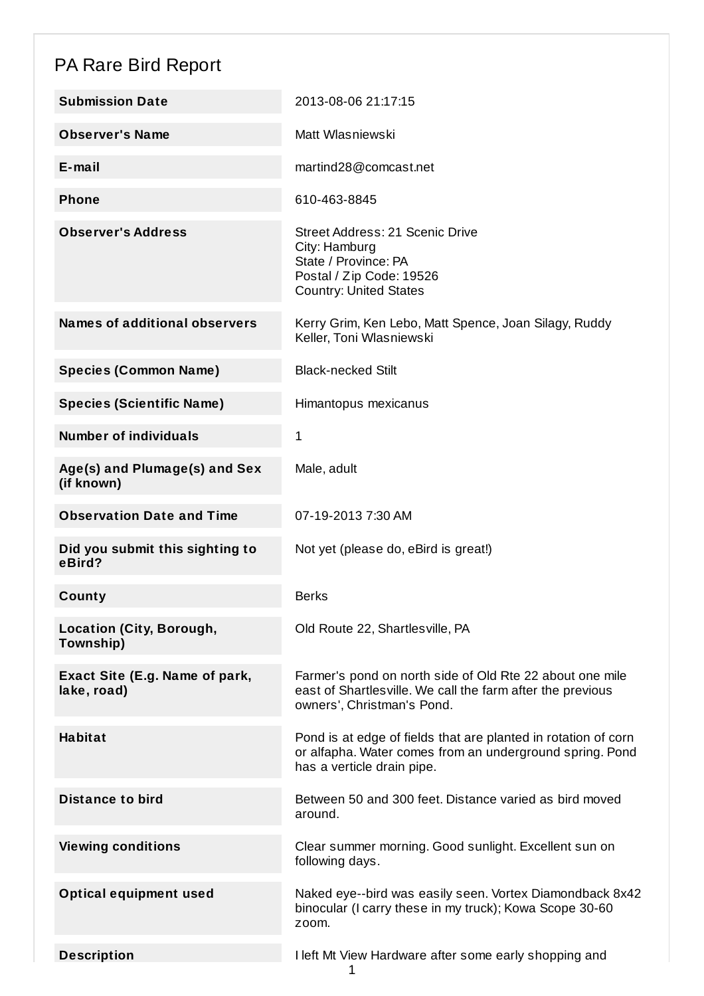## PA Rare Bird Report

| <b>Submission Date</b>                        | 2013-08-06 21:17:15                                                                                                                                      |
|-----------------------------------------------|----------------------------------------------------------------------------------------------------------------------------------------------------------|
| <b>Observer's Name</b>                        | Matt Wlasniewski                                                                                                                                         |
| $E$ -mail                                     | martind28@comcast.net                                                                                                                                    |
| <b>Phone</b>                                  | 610-463-8845                                                                                                                                             |
| <b>Observer's Address</b>                     | Street Address: 21 Scenic Drive<br>City: Hamburg<br>State / Province: PA<br>Postal / Zip Code: 19526<br><b>Country: United States</b>                    |
| <b>Names of additional observers</b>          | Kerry Grim, Ken Lebo, Matt Spence, Joan Silagy, Ruddy<br>Keller, Toni Wlasniewski                                                                        |
| <b>Species (Common Name)</b>                  | <b>Black-necked Stilt</b>                                                                                                                                |
| <b>Species (Scientific Name)</b>              | Himantopus mexicanus                                                                                                                                     |
| <b>Number of individuals</b>                  | 1                                                                                                                                                        |
| Age(s) and Plumage(s) and Sex<br>(if known)   | Male, adult                                                                                                                                              |
| <b>Observation Date and Time</b>              | 07-19-2013 7:30 AM                                                                                                                                       |
| Did you submit this sighting to<br>eBird?     | Not yet (please do, eBird is great!)                                                                                                                     |
| County                                        | <b>Berks</b>                                                                                                                                             |
| Location (City, Borough,<br>Township)         | Old Route 22, Shartlesville, PA                                                                                                                          |
| Exact Site (E.g. Name of park,<br>lake, road) | Farmer's pond on north side of Old Rte 22 about one mile<br>east of Shartlesville. We call the farm after the previous<br>owners', Christman's Pond.     |
| <b>Habitat</b>                                | Pond is at edge of fields that are planted in rotation of corn<br>or alfapha. Water comes from an underground spring. Pond<br>has a verticle drain pipe. |
| <b>Distance to bird</b>                       | Between 50 and 300 feet. Distance varied as bird moved<br>around.                                                                                        |
| <b>Viewing conditions</b>                     | Clear summer morning. Good sunlight. Excellent sun on<br>following days.                                                                                 |
| <b>Optical equipment used</b>                 | Naked eye--bird was easily seen. Vortex Diamondback 8x42<br>binocular (I carry these in my truck); Kowa Scope 30-60<br>zoom.                             |
| <b>Description</b>                            | I left Mt View Hardware after some early shopping and                                                                                                    |

1